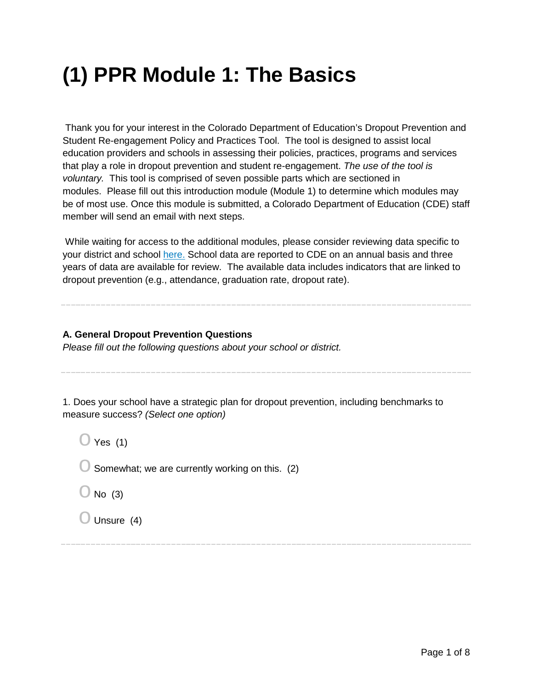## **(1) PPR Module 1: The Basics**

Thank you for your interest in the Colorado Department of Education's Dropout Prevention and Student Re-engagement Policy and Practices Tool. The tool is designed to assist local education providers and schools in assessing their policies, practices, programs and services that play a role in dropout prevention and student re-engagement. *The use of the tool is voluntary.* This tool is comprised of seven possible parts which are sectioned in modules. Please fill out this introduction module (Module 1) to determine which modules may be of most use. Once this module is submitted, a Colorado Department of Education (CDE) staff member will send an email with next steps.

While waiting for access to the additional modules, please consider reviewing data specific to your district and school [here.](http://www.cde.state.co.us/dropoutprevention/combineddataforpolicyandpracticesassessment) School data are reported to CDE on an annual basis and three years of data are available for review. The available data includes indicators that are linked to dropout prevention (e.g., attendance, graduation rate, dropout rate).

## **A. General Dropout Prevention Questions**

*Please fill out the following questions about your school or district.*

1. Does your school have a strategic plan for dropout prevention, including benchmarks to measure success? *(Select one option)*

 $\bigcirc$  Yes (1)

 $\bigcirc$  Somewhat; we are currently working on this. (2)

 $\bigcirc$  No (3)

 $\bigcirc$  Unsure (4)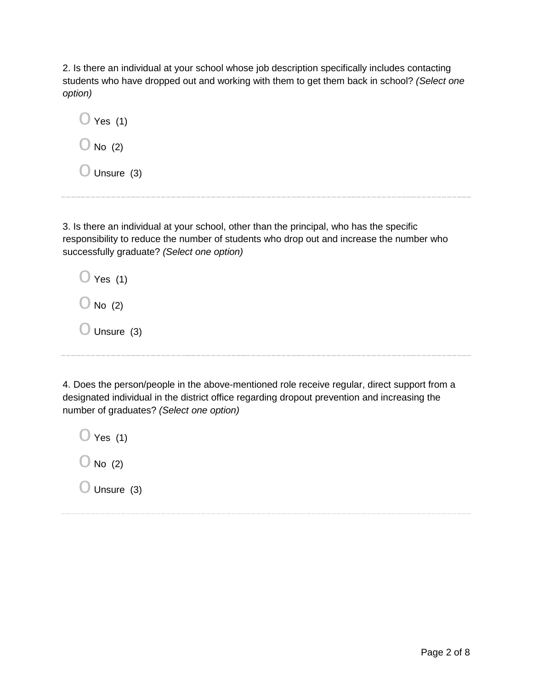2. Is there an individual at your school whose job description specifically includes contacting students who have dropped out and working with them to get them back in school? *(Select one option)*

 $\bigcirc$  Yes (1)  $\bigcirc$  No (2)  $\bigcirc$  Unsure (3)

3. Is there an individual at your school, other than the principal, who has the specific responsibility to reduce the number of students who drop out and increase the number who successfully graduate? *(Select one option)*

| Yes (1)              |  |
|----------------------|--|
| $\bigcup$ No (2)     |  |
| $\bigcup$ Unsure (3) |  |

4. Does the person/people in the above-mentioned role receive regular, direct support from a designated individual in the district office regarding dropout prevention and increasing the number of graduates? *(Select one option)*

 $\bigcirc$  Yes (1)  $\bigcirc$  No (2)  $\bigcirc$  Unsure (3)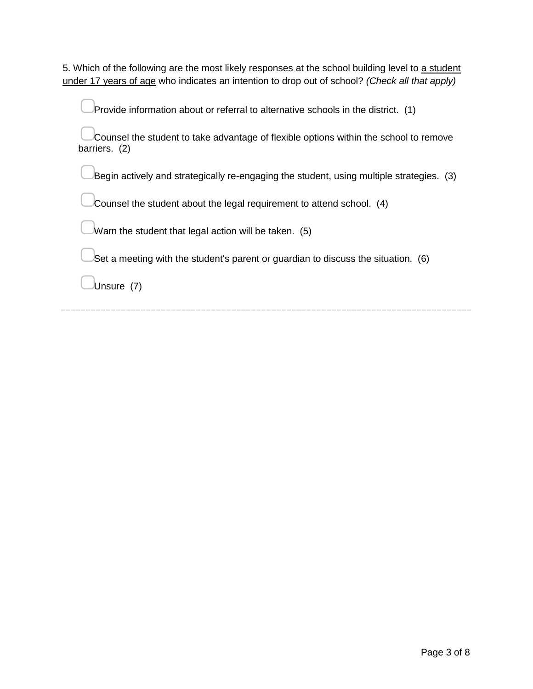5. Which of the following are the most likely responses at the school building level to a student under 17 years of age who indicates an intention to drop out of school? *(Check all that apply)*

| Provide information about or referral to alternative schools in the district. (1)                      |
|--------------------------------------------------------------------------------------------------------|
| Counsel the student to take advantage of flexible options within the school to remove<br>barriers. (2) |
| Begin actively and strategically re-engaging the student, using multiple strategies. (3)               |
| Counsel the student about the legal requirement to attend school. (4)                                  |
| Warn the student that legal action will be taken. (5)                                                  |
| Set a meeting with the student's parent or guardian to discuss the situation. (6)                      |
| Jnsure                                                                                                 |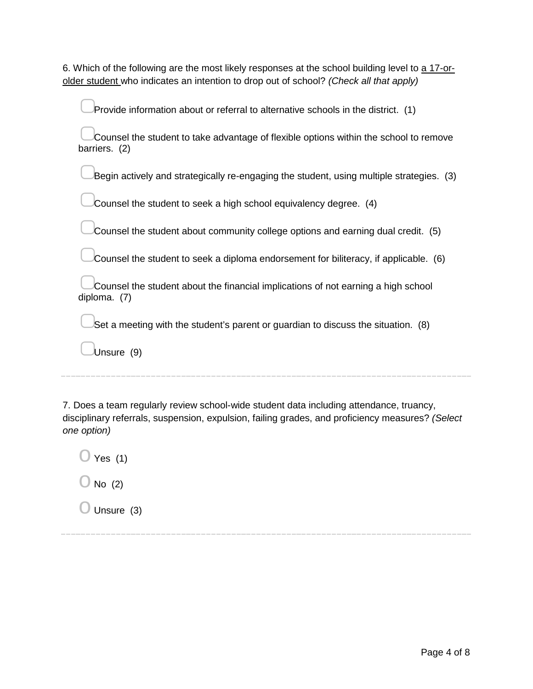| 6. Which of the following are the most likely responses at the school building level to a 17-or- |  |
|--------------------------------------------------------------------------------------------------|--|
| older student who indicates an intention to drop out of school? (Check all that apply)           |  |

| Provide information about or referral to alternative schools in the district. (1)                      |
|--------------------------------------------------------------------------------------------------------|
| Counsel the student to take advantage of flexible options within the school to remove<br>barriers. (2) |
| Begin actively and strategically re-engaging the student, using multiple strategies. (3)               |
| Counsel the student to seek a high school equivalency degree. (4)                                      |
| Counsel the student about community college options and earning dual credit. (5)                       |
| Counsel the student to seek a diploma endorsement for biliteracy, if applicable. (6)                   |
| Counsel the student about the financial implications of not earning a high school<br>diploma. (7)      |
| Set a meeting with the student's parent or guardian to discuss the situation. (8)                      |
| Unsure (9)                                                                                             |
|                                                                                                        |

7. Does a team regularly review school-wide student data including attendance, truancy, disciplinary referrals, suspension, expulsion, failing grades, and proficiency measures? *(Select one option)*

 $\bigcirc$  Yes (1)

- $\bigcirc$  No (2)
- $\bigcirc$  Unsure (3)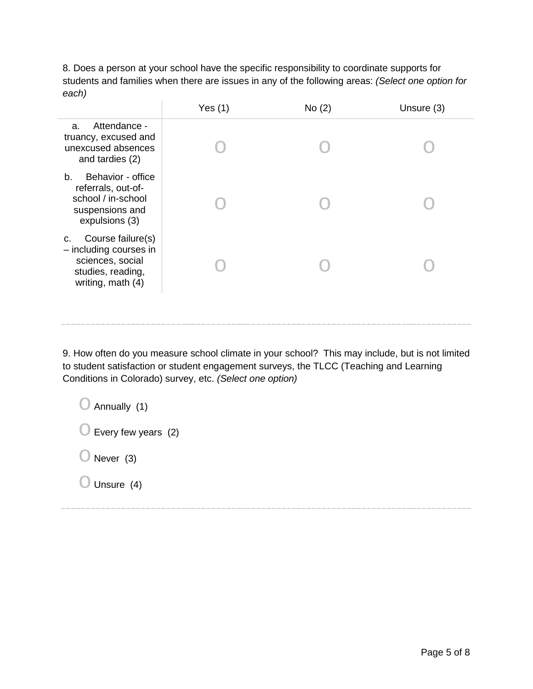8. Does a person at your school have the specific responsibility to coordinate supports for students and families when there are issues in any of the following areas: *(Select one option for each)*

|                                                                                                                 | Yes $(1)$ | No(2) | Unsure (3) |
|-----------------------------------------------------------------------------------------------------------------|-----------|-------|------------|
| Attendance -<br>a.<br>truancy, excused and<br>unexcused absences<br>and tardies (2)                             |           |       |            |
| Behavior - office<br>b.<br>referrals, out-of-<br>school / in-school<br>suspensions and<br>expulsions (3)        |           |       |            |
| Course failure(s)<br>C.<br>- including courses in<br>sciences, social<br>studies, reading,<br>writing, math (4) |           |       |            |
|                                                                                                                 |           |       |            |

9. How often do you measure school climate in your school? This may include, but is not limited to student satisfaction or student engagement surveys, the TLCC (Teaching and Learning Conditions in Colorado) survey, etc. *(Select one option)*

 $\bigcirc$  Annually (1)

 $\bigcirc$  Every few years (2)

 $\bigcirc$  Never (3)

 $\bigcirc$  Unsure (4)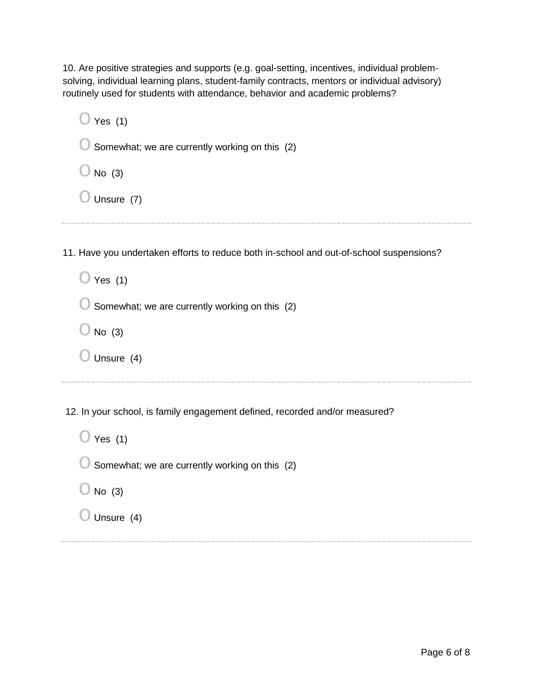10. Are positive strategies and supports (e.g. goal-setting, incentives, individual problemsolving, individual learning plans, student-family contracts, mentors or individual advisory) routinely used for students with attendance, behavior and academic problems?

| Yes $(1)$                                                                               |
|-----------------------------------------------------------------------------------------|
| Somewhat; we are currently working on this (2)                                          |
| No $(3)$                                                                                |
| Unsure (7)                                                                              |
|                                                                                         |
| 11. Have you undertaken efforts to reduce both in-school and out-of-school suspensions? |
| Yes $(1)$                                                                               |
| Somewhat; we are currently working on this (2)                                          |
| No $(3)$                                                                                |
| Unsure (4)                                                                              |
|                                                                                         |

12. In your school, is family engagement defined, recorded and/or measured?

| Yes $(1)$                                              |
|--------------------------------------------------------|
| Somewhat; we are currently working on this (2)<br>ال - |
| No (3)<br>εŽ                                           |
| Unsure (4)                                             |
|                                                        |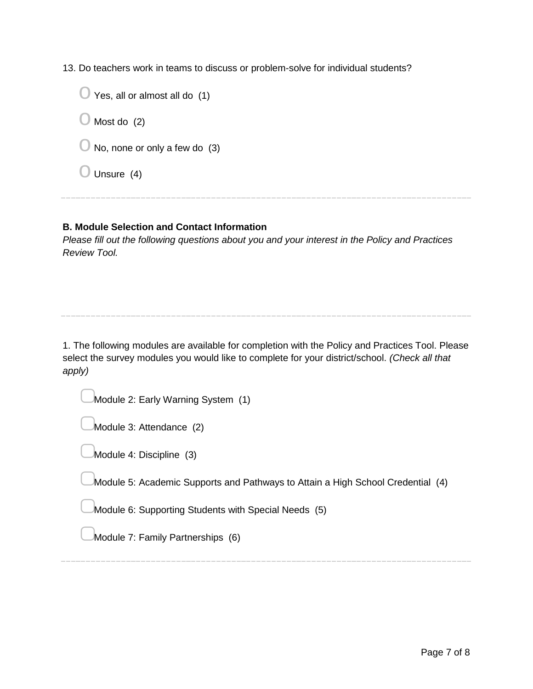13. Do teachers work in teams to discuss or problem-solve for individual students?

 $\bigcirc$  Yes, all or almost all do (1)  $\bigcirc$  Most do (2)  $\bigcirc$  No, none or only a few do (3)  $\bigcirc$  Unsure (4)

## **B. Module Selection and Contact Information**

*Please fill out the following questions about you and your interest in the Policy and Practices Review Tool.*

1. The following modules are available for completion with the Policy and Practices Tool. Please select the survey modules you would like to complete for your district/school. *(Check all that apply)*

Module 2: Early Warning System (1)

Module 3: Attendance (2)

Module 4: Discipline (3)

Module 5: Academic Supports and Pathways to Attain a High School Credential (4)

Module 6: Supporting Students with Special Needs (5)

Module 7: Family Partnerships (6)